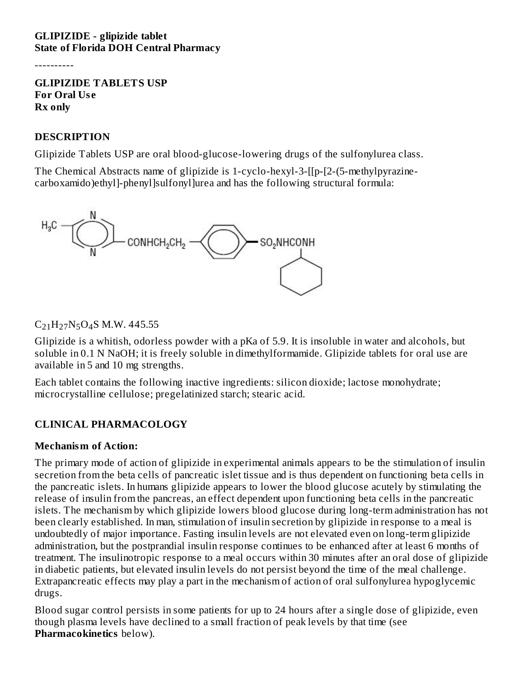#### **GLIPIZIDE - glipizide tablet State of Florida DOH Central Pharmacy**

----------

**GLIPIZIDE TABLETS USP For Oral Us e Rx only**

#### **DESCRIPTION**

Glipizide Tablets USP are oral blood-glucose-lowering drugs of the sulfonylurea class.

The Chemical Abstracts name of glipizide is 1-cyclo-hexyl-3-[[p-[2-(5-methylpyrazinecarboxamido)ethyl]-phenyl]sulfonyl]urea and has the following structural formula:



#### $C_{21}H_{27}N_5O_4S$  M.W. 445.55

Glipizide is a whitish, odorless powder with a pKa of 5.9. It is insoluble in water and alcohols, but soluble in 0.1 N NaOH; it is freely soluble in dimethylformamide. Glipizide tablets for oral use are available in 5 and 10 mg strengths.

Each tablet contains the following inactive ingredients: silicon dioxide; lactose monohydrate; microcrystalline cellulose; pregelatinized starch; stearic acid.

### **CLINICAL PHARMACOLOGY**

#### **Mechanism of Action:**

The primary mode of action of glipizide in experimental animals appears to be the stimulation of insulin secretion from the beta cells of pancreatic islet tissue and is thus dependent on functioning beta cells in the pancreatic islets. In humans glipizide appears to lower the blood glucose acutely by stimulating the release of insulin from the pancreas, an effect dependent upon functioning beta cells in the pancreatic islets. The mechanism by which glipizide lowers blood glucose during long-term administration has not been clearly established. In man, stimulation of insulin secretion by glipizide in response to a meal is undoubtedly of major importance. Fasting insulin levels are not elevated even on long-term glipizide administration, but the postprandial insulin response continues to be enhanced after at least 6 months of treatment. The insulinotropic response to a meal occurs within 30 minutes after an oral dose of glipizide in diabetic patients, but elevated insulin levels do not persist beyond the time of the meal challenge. Extrapancreatic effects may play a part in the mechanism of action of oral sulfonylurea hypoglycemic drugs.

Blood sugar control persists in some patients for up to 24 hours after a single dose of glipizide, even though plasma levels have declined to a small fraction of peak levels by that time (see **Pharmacokinetics** below).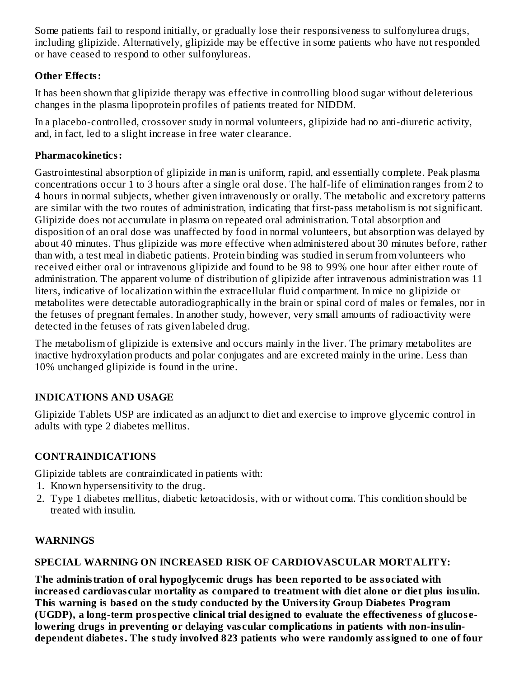Some patients fail to respond initially, or gradually lose their responsiveness to sulfonylurea drugs, including glipizide. Alternatively, glipizide may be effective in some patients who have not responded or have ceased to respond to other sulfonylureas.

### **Other Effects:**

It has been shown that glipizide therapy was effective in controlling blood sugar without deleterious changes in the plasma lipoprotein profiles of patients treated for NIDDM.

In a placebo-controlled, crossover study in normal volunteers, glipizide had no anti-diuretic activity, and, in fact, led to a slight increase in free water clearance.

## **Pharmacokinetics:**

Gastrointestinal absorption of glipizide in man is uniform, rapid, and essentially complete. Peak plasma concentrations occur 1 to 3 hours after a single oral dose. The half-life of elimination ranges from 2 to 4 hours in normal subjects, whether given intravenously or orally. The metabolic and excretory patterns are similar with the two routes of administration, indicating that first-pass metabolism is not significant. Glipizide does not accumulate in plasma on repeated oral administration. Total absorption and disposition of an oral dose was unaffected by food in normal volunteers, but absorption was delayed by about 40 minutes. Thus glipizide was more effective when administered about 30 minutes before, rather than with, a test meal in diabetic patients. Protein binding was studied in serum from volunteers who received either oral or intravenous glipizide and found to be 98 to 99% one hour after either route of administration. The apparent volume of distribution of glipizide after intravenous administration was 11 liters, indicative of localization within the extracellular fluid compartment. In mice no glipizide or metabolites were detectable autoradiographically in the brain or spinal cord of males or females, nor in the fetuses of pregnant females. In another study, however, very small amounts of radioactivity were detected in the fetuses of rats given labeled drug.

The metabolism of glipizide is extensive and occurs mainly in the liver. The primary metabolites are inactive hydroxylation products and polar conjugates and are excreted mainly in the urine. Less than 10% unchanged glipizide is found in the urine.

# **INDICATIONS AND USAGE**

Glipizide Tablets USP are indicated as an adjunct to diet and exercise to improve glycemic control in adults with type 2 diabetes mellitus.

### **CONTRAINDICATIONS**

Glipizide tablets are contraindicated in patients with:

- 1. Known hypersensitivity to the drug.
- 2. Type 1 diabetes mellitus, diabetic ketoacidosis, with or without coma. This condition should be treated with insulin.

### **WARNINGS**

### **SPECIAL WARNING ON INCREASED RISK OF CARDIOVASCULAR MORTALITY:**

**The administration of oral hypoglycemic drugs has been reported to be associated with increas ed cardiovas cular mortality as compared to treatment with diet alone or diet plus insulin. This warning is bas ed on the study conducted by the University Group Diabetes Program (UGDP), a long-term prospective clinical trial designed to evaluate the effectiveness of glucos elowering drugs in preventing or delaying vas cular complications in patients with non-insulindependent diabetes. The study involved 823 patients who were randomly assigned to one of four**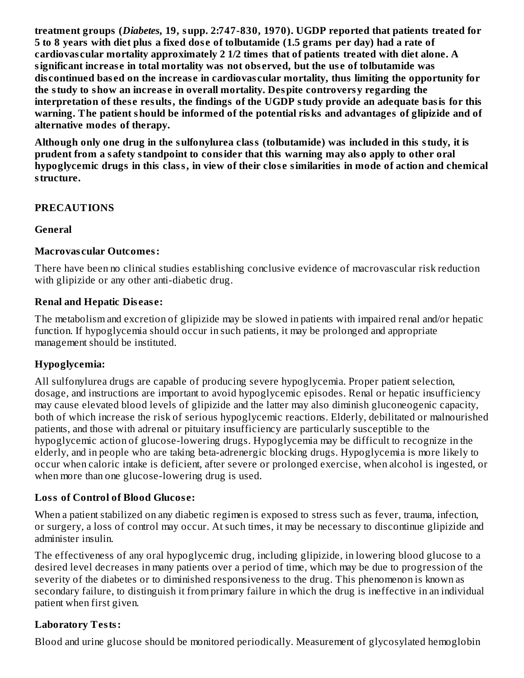**treatment groups (***Diabetes***, 19, supp. 2:747-830, 1970). UGDP reported that patients treated for** 5 to 8 years with diet plus a fixed dose of tolbutamide (1.5 grams per day) had a rate of **cardiovas cular mortality approximately 2 1/2 times that of patients treated with diet alone. A significant increas e in total mortality was not obs erved, but the us e of tolbutamide was dis continued bas ed on the increas e in cardiovas cular mortality, thus limiting the opportunity for the study to show an increas e in overall mortality. Despite controversy regarding the interpretation of thes e results, the findings of the UGDP study provide an adequate basis for this warning. The patient should be informed of the potential risks and advantages of glipizide and of alternative modes of therapy.**

**Although only one drug in the sulfonylurea class (tolbutamide) was included in this study, it is prudent from a safety standpoint to consider that this warning may also apply to other oral** hypoglycemic drugs in this class, in view of their close similarities in mode of action and chemical **structure.**

#### **PRECAUTIONS**

#### **General**

#### **Macrovas cular Outcomes:**

There have been no clinical studies establishing conclusive evidence of macrovascular risk reduction with glipizide or any other anti-diabetic drug.

#### **Renal and Hepatic Dis eas e:**

The metabolism and excretion of glipizide may be slowed in patients with impaired renal and/or hepatic function. If hypoglycemia should occur in such patients, it may be prolonged and appropriate management should be instituted.

#### **Hypoglycemia:**

All sulfonylurea drugs are capable of producing severe hypoglycemia. Proper patient selection, dosage, and instructions are important to avoid hypoglycemic episodes. Renal or hepatic insufficiency may cause elevated blood levels of glipizide and the latter may also diminish gluconeogenic capacity, both of which increase the risk of serious hypoglycemic reactions. Elderly, debilitated or malnourished patients, and those with adrenal or pituitary insufficiency are particularly susceptible to the hypoglycemic action of glucose-lowering drugs. Hypoglycemia may be difficult to recognize in the elderly, and in people who are taking beta-adrenergic blocking drugs. Hypoglycemia is more likely to occur when caloric intake is deficient, after severe or prolonged exercise, when alcohol is ingested, or when more than one glucose-lowering drug is used.

#### **Loss of Control of Blood Glucos e:**

When a patient stabilized on any diabetic regimen is exposed to stress such as fever, trauma, infection, or surgery, a loss of control may occur. At such times, it may be necessary to discontinue glipizide and administer insulin.

The effectiveness of any oral hypoglycemic drug, including glipizide, in lowering blood glucose to a desired level decreases in many patients over a period of time, which may be due to progression of the severity of the diabetes or to diminished responsiveness to the drug. This phenomenon is known as secondary failure, to distinguish it from primary failure in which the drug is ineffective in an individual patient when first given.

#### **Laboratory Tests:**

Blood and urine glucose should be monitored periodically. Measurement of glycosylated hemoglobin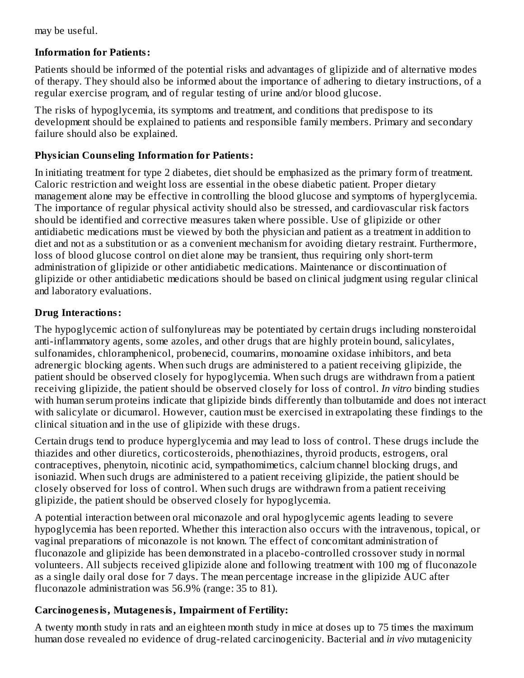may be useful.

#### **Information for Patients:**

Patients should be informed of the potential risks and advantages of glipizide and of alternative modes of therapy. They should also be informed about the importance of adhering to dietary instructions, of a regular exercise program, and of regular testing of urine and/or blood glucose.

The risks of hypoglycemia, its symptoms and treatment, and conditions that predispose to its development should be explained to patients and responsible family members. Primary and secondary failure should also be explained.

#### **Physician Couns eling Information for Patients:**

In initiating treatment for type 2 diabetes, diet should be emphasized as the primary form of treatment. Caloric restriction and weight loss are essential in the obese diabetic patient. Proper dietary management alone may be effective in controlling the blood glucose and symptoms of hyperglycemia. The importance of regular physical activity should also be stressed, and cardiovascular risk factors should be identified and corrective measures taken where possible. Use of glipizide or other antidiabetic medications must be viewed by both the physician and patient as a treatment in addition to diet and not as a substitution or as a convenient mechanism for avoiding dietary restraint. Furthermore, loss of blood glucose control on diet alone may be transient, thus requiring only short-term administration of glipizide or other antidiabetic medications. Maintenance or discontinuation of glipizide or other antidiabetic medications should be based on clinical judgment using regular clinical and laboratory evaluations.

### **Drug Interactions:**

The hypoglycemic action of sulfonylureas may be potentiated by certain drugs including nonsteroidal anti-inflammatory agents, some azoles, and other drugs that are highly protein bound, salicylates, sulfonamides, chloramphenicol, probenecid, coumarins, monoamine oxidase inhibitors, and beta adrenergic blocking agents. When such drugs are administered to a patient receiving glipizide, the patient should be observed closely for hypoglycemia. When such drugs are withdrawn from a patient receiving glipizide, the patient should be observed closely for loss of control. *In vitro* binding studies with human serum proteins indicate that glipizide binds differently than tolbutamide and does not interact with salicylate or dicumarol. However, caution must be exercised in extrapolating these findings to the clinical situation and in the use of glipizide with these drugs.

Certain drugs tend to produce hyperglycemia and may lead to loss of control. These drugs include the thiazides and other diuretics, corticosteroids, phenothiazines, thyroid products, estrogens, oral contraceptives, phenytoin, nicotinic acid, sympathomimetics, calcium channel blocking drugs, and isoniazid. When such drugs are administered to a patient receiving glipizide, the patient should be closely observed for loss of control. When such drugs are withdrawn from a patient receiving glipizide, the patient should be observed closely for hypoglycemia.

A potential interaction between oral miconazole and oral hypoglycemic agents leading to severe hypoglycemia has been reported. Whether this interaction also occurs with the intravenous, topical, or vaginal preparations of miconazole is not known. The effect of concomitant administration of fluconazole and glipizide has been demonstrated in a placebo-controlled crossover study in normal volunteers. All subjects received glipizide alone and following treatment with 100 mg of fluconazole as a single daily oral dose for 7 days. The mean percentage increase in the glipizide AUC after fluconazole administration was 56.9% (range: 35 to 81).

### **Carcinogenesis, Mutagenesis, Impairment of Fertility:**

A twenty month study in rats and an eighteen month study in mice at doses up to 75 times the maximum human dose revealed no evidence of drug-related carcinogenicity. Bacterial and *in vivo* mutagenicity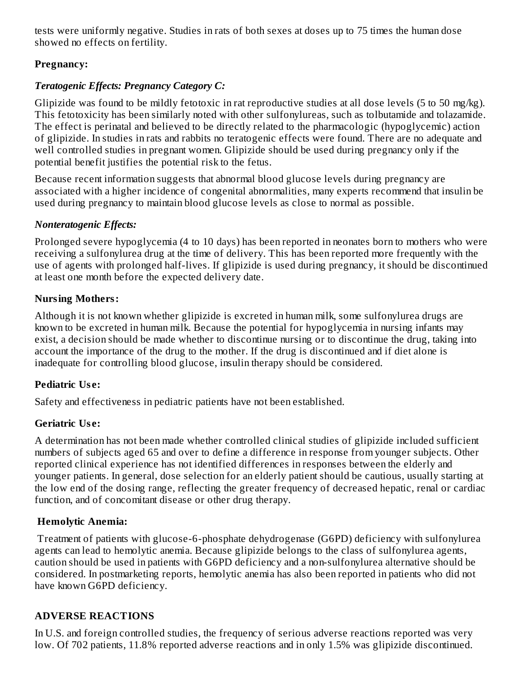tests were uniformly negative. Studies in rats of both sexes at doses up to 75 times the human dose showed no effects on fertility.

## **Pregnancy:**

# *Teratogenic Effects: Pregnancy Category C:*

Glipizide was found to be mildly fetotoxic in rat reproductive studies at all dose levels (5 to 50 mg/kg). This fetotoxicity has been similarly noted with other sulfonylureas, such as tolbutamide and tolazamide. The effect is perinatal and believed to be directly related to the pharmacologic (hypoglycemic) action of glipizide. In studies in rats and rabbits no teratogenic effects were found. There are no adequate and well controlled studies in pregnant women. Glipizide should be used during pregnancy only if the potential benefit justifies the potential risk to the fetus.

Because recent information suggests that abnormal blood glucose levels during pregnancy are associated with a higher incidence of congenital abnormalities, many experts recommend that insulin be used during pregnancy to maintain blood glucose levels as close to normal as possible.

### *Nonteratogenic Effects:*

Prolonged severe hypoglycemia (4 to 10 days) has been reported in neonates born to mothers who were receiving a sulfonylurea drug at the time of delivery. This has been reported more frequently with the use of agents with prolonged half-lives. If glipizide is used during pregnancy, it should be discontinued at least one month before the expected delivery date.

### **Nursing Mothers:**

Although it is not known whether glipizide is excreted in human milk, some sulfonylurea drugs are known to be excreted in human milk. Because the potential for hypoglycemia in nursing infants may exist, a decision should be made whether to discontinue nursing or to discontinue the drug, taking into account the importance of the drug to the mother. If the drug is discontinued and if diet alone is inadequate for controlling blood glucose, insulin therapy should be considered.

### **Pediatric Us e:**

Safety and effectiveness in pediatric patients have not been established.

### **Geriatric Us e:**

A determination has not been made whether controlled clinical studies of glipizide included sufficient numbers of subjects aged 65 and over to define a difference in response from younger subjects. Other reported clinical experience has not identified differences in responses between the elderly and younger patients. In general, dose selection for an elderly patient should be cautious, usually starting at the low end of the dosing range, reflecting the greater frequency of decreased hepatic, renal or cardiac function, and of concomitant disease or other drug therapy.

# **Hemolytic Anemia:**

Treatment of patients with glucose-6-phosphate dehydrogenase (G6PD) deficiency with sulfonylurea agents can lead to hemolytic anemia. Because glipizide belongs to the class of sulfonylurea agents, caution should be used in patients with G6PD deficiency and a non-sulfonylurea alternative should be considered. In postmarketing reports, hemolytic anemia has also been reported in patients who did not have known G6PD deficiency.

# **ADVERSE REACTIONS**

In U.S. and foreign controlled studies, the frequency of serious adverse reactions reported was very low. Of 702 patients, 11.8% reported adverse reactions and in only 1.5% was glipizide discontinued.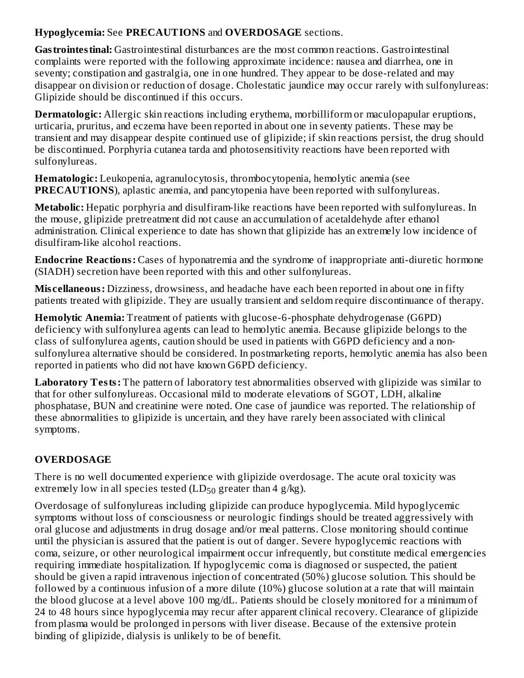#### **Hypoglycemia:** See **PRECAUTIONS** and **OVERDOSAGE** sections.

**Gastrointestinal:** Gastrointestinal disturbances are the most common reactions. Gastrointestinal complaints were reported with the following approximate incidence: nausea and diarrhea, one in seventy; constipation and gastralgia, one in one hundred. They appear to be dose-related and may disappear on division or reduction of dosage. Cholestatic jaundice may occur rarely with sulfonylureas: Glipizide should be discontinued if this occurs.

**Dermatologic:** Allergic skin reactions including erythema, morbilliform or maculopapular eruptions, urticaria, pruritus, and eczema have been reported in about one in seventy patients. These may be transient and may disappear despite continued use of glipizide; if skin reactions persist, the drug should be discontinued. Porphyria cutanea tarda and photosensitivity reactions have been reported with sulfonylureas.

**Hematologic:** Leukopenia, agranulocytosis, thrombocytopenia, hemolytic anemia (see **PRECAUTIONS**), aplastic anemia, and pancytopenia have been reported with sulfonylureas.

**Metabolic:** Hepatic porphyria and disulfiram-like reactions have been reported with sulfonylureas. In the mouse, glipizide pretreatment did not cause an accumulation of acetaldehyde after ethanol administration. Clinical experience to date has shown that glipizide has an extremely low incidence of disulfiram-like alcohol reactions.

**Endocrine Reactions:** Cases of hyponatremia and the syndrome of inappropriate anti-diuretic hormone (SIADH) secretion have been reported with this and other sulfonylureas.

**Mis cellaneous:** Dizziness, drowsiness, and headache have each been reported in about one in fifty patients treated with glipizide. They are usually transient and seldom require discontinuance of therapy.

**Hemolytic Anemia:** Treatment of patients with glucose-6-phosphate dehydrogenase (G6PD) deficiency with sulfonylurea agents can lead to hemolytic anemia. Because glipizide belongs to the class of sulfonylurea agents, caution should be used in patients with G6PD deficiency and a nonsulfonylurea alternative should be considered. In postmarketing reports, hemolytic anemia has also been reported in patients who did not have known G6PD deficiency.

**Laboratory Tests:** The pattern of laboratory test abnormalities observed with glipizide was similar to that for other sulfonylureas. Occasional mild to moderate elevations of SGOT, LDH, alkaline phosphatase, BUN and creatinine were noted. One case of jaundice was reported. The relationship of these abnormalities to glipizide is uncertain, and they have rarely been associated with clinical symptoms.

# **OVERDOSAGE**

There is no well documented experience with glipizide overdosage. The acute oral toxicity was extremely low in all species tested (LD $_{50}$  greater than 4 g/kg).

Overdosage of sulfonylureas including glipizide can produce hypoglycemia. Mild hypoglycemic symptoms without loss of consciousness or neurologic findings should be treated aggressively with oral glucose and adjustments in drug dosage and/or meal patterns. Close monitoring should continue until the physician is assured that the patient is out of danger. Severe hypoglycemic reactions with coma, seizure, or other neurological impairment occur infrequently, but constitute medical emergencies requiring immediate hospitalization. If hypoglycemic coma is diagnosed or suspected, the patient should be given a rapid intravenous injection of concentrated (50%) glucose solution. This should be followed by a continuous infusion of a more dilute (10%) glucose solution at a rate that will maintain the blood glucose at a level above 100 mg/dL. Patients should be closely monitored for a minimum of 24 to 48 hours since hypoglycemia may recur after apparent clinical recovery. Clearance of glipizide from plasma would be prolonged in persons with liver disease. Because of the extensive protein binding of glipizide, dialysis is unlikely to be of benefit.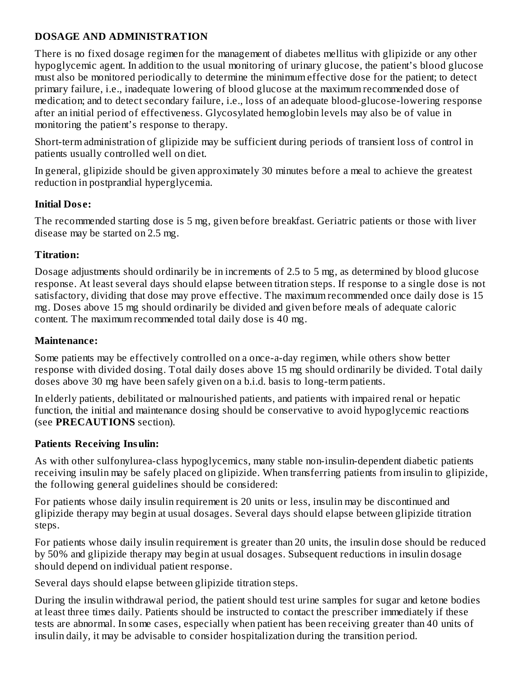#### **DOSAGE AND ADMINISTRATION**

There is no fixed dosage regimen for the management of diabetes mellitus with glipizide or any other hypoglycemic agent. In addition to the usual monitoring of urinary glucose, the patient's blood glucose must also be monitored periodically to determine the minimum effective dose for the patient; to detect primary failure, i.e., inadequate lowering of blood glucose at the maximum recommended dose of medication; and to detect secondary failure, i.e., loss of an adequate blood-glucose-lowering response after an initial period of effectiveness. Glycosylated hemoglobin levels may also be of value in monitoring the patient's response to therapy.

Short-term administration of glipizide may be sufficient during periods of transient loss of control in patients usually controlled well on diet.

In general, glipizide should be given approximately 30 minutes before a meal to achieve the greatest reduction in postprandial hyperglycemia.

# **Initial Dos e:**

The recommended starting dose is 5 mg, given before breakfast. Geriatric patients or those with liver disease may be started on 2.5 mg.

### **Titration:**

Dosage adjustments should ordinarily be in increments of 2.5 to 5 mg, as determined by blood glucose response. At least several days should elapse between titration steps. If response to a single dose is not satisfactory, dividing that dose may prove effective. The maximum recommended once daily dose is 15 mg. Doses above 15 mg should ordinarily be divided and given before meals of adequate caloric content. The maximum recommended total daily dose is 40 mg.

### **Maintenance:**

Some patients may be effectively controlled on a once-a-day regimen, while others show better response with divided dosing. Total daily doses above 15 mg should ordinarily be divided. Total daily doses above 30 mg have been safely given on a b.i.d. basis to long-term patients.

In elderly patients, debilitated or malnourished patients, and patients with impaired renal or hepatic function, the initial and maintenance dosing should be conservative to avoid hypoglycemic reactions (see **PRECAUTIONS** section).

### **Patients Receiving Insulin:**

As with other sulfonylurea-class hypoglycemics, many stable non-insulin-dependent diabetic patients receiving insulin may be safely placed on glipizide. When transferring patients from insulin to glipizide, the following general guidelines should be considered:

For patients whose daily insulin requirement is 20 units or less, insulin may be discontinued and glipizide therapy may begin at usual dosages. Several days should elapse between glipizide titration steps.

For patients whose daily insulin requirement is greater than 20 units, the insulin dose should be reduced by 50% and glipizide therapy may begin at usual dosages. Subsequent reductions in insulin dosage should depend on individual patient response.

Several days should elapse between glipizide titration steps.

During the insulin withdrawal period, the patient should test urine samples for sugar and ketone bodies at least three times daily. Patients should be instructed to contact the prescriber immediately if these tests are abnormal. In some cases, especially when patient has been receiving greater than 40 units of insulin daily, it may be advisable to consider hospitalization during the transition period.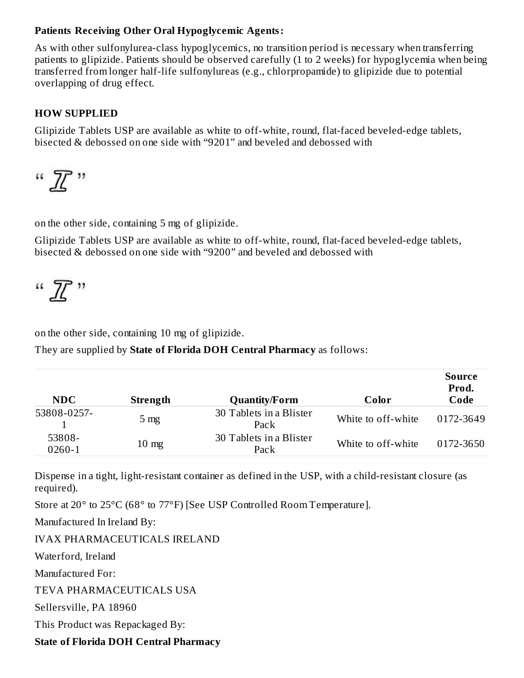#### **Patients Receiving Other Oral Hypoglycemic Agents:**

As with other sulfonylurea-class hypoglycemics, no transition period is necessary when transferring patients to glipizide. Patients should be observed carefully (1 to 2 weeks) for hypoglycemia when being transferred from longer half-life sulfonylureas (e.g., chlorpropamide) to glipizide due to potential overlapping of drug effect.

#### **HOW SUPPLIED**

Glipizide Tablets USP are available as white to off-white, round, flat-faced beveled-edge tablets, bisected & debossed on one side with "9201" and beveled and debossed with

" $\mathcal{I}$ "

on the other side, containing 5 mg of glipizide.

Glipizide Tablets USP are available as white to off-white, round, flat-faced beveled-edge tablets, bisected & debossed on one side with "9200" and beveled and debossed with



on the other side, containing 10 mg of glipizide.

They are supplied by **State of Florida DOH Central Pharmacy** as follows:

| <b>NDC</b>       | Strength        | <b>Quantity/Form</b>            | Color              | <b>Source</b><br>Prod.<br>Code |
|------------------|-----------------|---------------------------------|--------------------|--------------------------------|
| 53808-0257-      | 5 <sub>mg</sub> | 30 Tablets in a Blister<br>Pack | White to off-white | 0172-3649                      |
| 53808-<br>0260-1 | $10 \text{ mg}$ | 30 Tablets in a Blister<br>Pack | White to off-white | 0172-3650                      |

Dispense in a tight, light-resistant container as defined in the USP, with a child-resistant closure (as required).

Store at 20° to 25°C (68° to 77°F) [See USP Controlled Room Temperature].

Manufactured In Ireland By:

IVAX PHARMACEUTICALS IRELAND

Waterford, Ireland

Manufactured For:

TEVA PHARMACEUTICALS USA

Sellersville, PA 18960

This Product was Repackaged By:

**State of Florida DOH Central Pharmacy**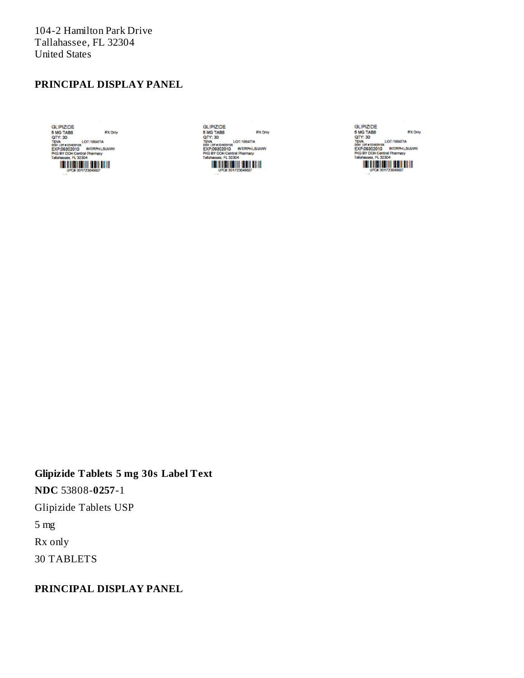104-2 Hamilton Park Drive Tallahassee, FL 32304 United States

#### **PRINCIPAL DISPLAY PANEL**

**Glipizide Tablets 5 mg 30s Label Text NDC** 53808-**0257**-1 Glipizide Tablets USP 5 mg Rx only 30 TABLETS

**PRINCIPAL DISPLAY PANEL**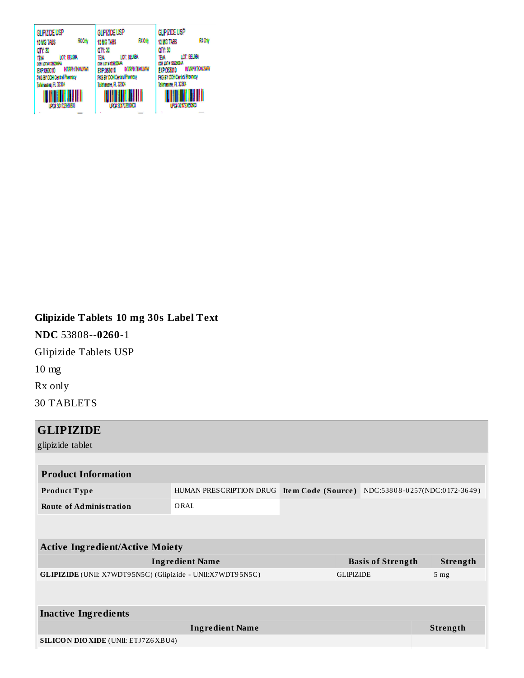# **Glipizide Tablets 10 mg 30s Label Text**

**NDC** 53808--**0260**-1

Glipizide Tablets USP

10 mg

Rx only

30 TABLETS

| <b>GLIPIZIDE</b>                                           |                         |                    |                 |                          |                               |  |  |
|------------------------------------------------------------|-------------------------|--------------------|-----------------|--------------------------|-------------------------------|--|--|
| glipizide tablet                                           |                         |                    |                 |                          |                               |  |  |
|                                                            |                         |                    |                 |                          |                               |  |  |
| <b>Product Information</b>                                 |                         |                    |                 |                          |                               |  |  |
| Product Type                                               | HUMAN PRESCRIPTION DRUG | Item Code (Source) |                 |                          | NDC:53808-0257(NDC:0172-3649) |  |  |
| <b>Route of Administration</b>                             | ORAL                    |                    |                 |                          |                               |  |  |
|                                                            |                         |                    |                 |                          |                               |  |  |
| <b>Active Ingredient/Active Moiety</b>                     |                         |                    |                 |                          |                               |  |  |
|                                                            | <b>Ingredient Name</b>  |                    |                 | <b>Basis of Strength</b> | <b>Strength</b>               |  |  |
| GLIPIZIDE (UNII: X7WDT95N5C) (Glipizide - UNII:X7WDT95N5C) | <b>GLIPIZIDE</b>        |                    | 5 <sub>mg</sub> |                          |                               |  |  |
|                                                            |                         |                    |                 |                          |                               |  |  |
| <b>Inactive Ingredients</b>                                |                         |                    |                 |                          |                               |  |  |
|                                                            | <b>Ingredient Name</b>  |                    |                 |                          | <b>Strength</b>               |  |  |
| SILICON DIO XIDE (UNII: ETJ7Z6XBU4)                        |                         |                    |                 |                          |                               |  |  |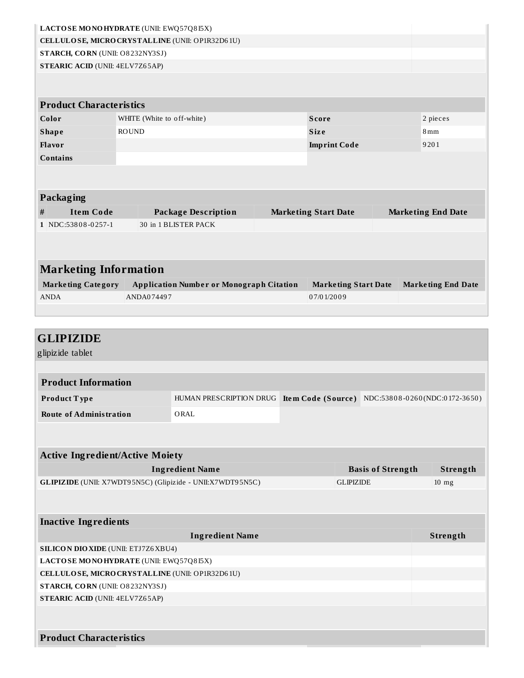| LACTOSE MONOHYDRATE (UNII: EWQ57Q8I5X)          |                            |                                                                          |                             |                             |                          |                           |
|-------------------------------------------------|----------------------------|--------------------------------------------------------------------------|-----------------------------|-----------------------------|--------------------------|---------------------------|
| CELLULOSE, MICRO CRYSTALLINE (UNII: OP1R32D61U) |                            |                                                                          |                             |                             |                          |                           |
| STARCH, CORN (UNII: O8232NY3SJ)                 |                            |                                                                          |                             |                             |                          |                           |
| <b>STEARIC ACID (UNII: 4ELV7Z65AP)</b>          |                            |                                                                          |                             |                             |                          |                           |
|                                                 |                            |                                                                          |                             |                             |                          |                           |
|                                                 |                            |                                                                          |                             |                             |                          |                           |
| <b>Product Characteristics</b>                  |                            |                                                                          |                             |                             |                          |                           |
| Color                                           | WHITE (White to off-white) |                                                                          | <b>Score</b>                |                             |                          | 2 pieces                  |
| <b>Shape</b>                                    | <b>ROUND</b>               |                                                                          | Size                        |                             |                          | 8mm                       |
| Flavor                                          |                            |                                                                          | <b>Imprint Code</b>         |                             |                          | 9201                      |
| <b>Contains</b>                                 |                            |                                                                          |                             |                             |                          |                           |
|                                                 |                            |                                                                          |                             |                             |                          |                           |
|                                                 |                            |                                                                          |                             |                             |                          |                           |
| Packaging                                       |                            |                                                                          |                             |                             |                          |                           |
| <b>Item Code</b><br>#                           |                            | <b>Package Description</b>                                               | <b>Marketing Start Date</b> |                             |                          | <b>Marketing End Date</b> |
| 1 NDC:53808-0257-1                              |                            | 30 in 1 BLISTER PACK                                                     |                             |                             |                          |                           |
|                                                 |                            |                                                                          |                             |                             |                          |                           |
|                                                 |                            |                                                                          |                             |                             |                          |                           |
|                                                 |                            |                                                                          |                             |                             |                          |                           |
| <b>Marketing Information</b>                    |                            |                                                                          |                             |                             |                          |                           |
| <b>Marketing Category</b>                       |                            | <b>Application Number or Monograph Citation</b>                          |                             | <b>Marketing Start Date</b> |                          | <b>Marketing End Date</b> |
| <b>ANDA</b>                                     | ANDA074497                 |                                                                          | 07/01/2009                  |                             |                          |                           |
|                                                 |                            |                                                                          |                             |                             |                          |                           |
|                                                 |                            |                                                                          |                             |                             |                          |                           |
|                                                 |                            |                                                                          |                             |                             |                          |                           |
| <b>GLIPIZIDE</b>                                |                            |                                                                          |                             |                             |                          |                           |
| glipizide tablet                                |                            |                                                                          |                             |                             |                          |                           |
|                                                 |                            |                                                                          |                             |                             |                          |                           |
| <b>Product Information</b>                      |                            |                                                                          |                             |                             |                          |                           |
|                                                 |                            |                                                                          |                             |                             |                          |                           |
| <b>Product Type</b>                             |                            | HUMAN PRESCRIPTION DRUG Item Code (Source) NDC:53808-0260(NDC:0172-3650) |                             |                             |                          |                           |
| <b>Route of Administration</b>                  |                            | ORAL                                                                     |                             |                             |                          |                           |
|                                                 |                            |                                                                          |                             |                             |                          |                           |
|                                                 |                            |                                                                          |                             |                             |                          |                           |
| <b>Active Ingredient/Active Moiety</b>          |                            |                                                                          |                             |                             |                          |                           |
|                                                 |                            | <b>Ingredient Name</b>                                                   |                             |                             | <b>Basis of Strength</b> | Strength                  |
|                                                 |                            | GLIPIZIDE (UNII: X7WDT95N5C) (Glipizide - UNII:X7WDT95N5C)               |                             | <b>GLIPIZIDE</b>            |                          | $10$ mg                   |
|                                                 |                            |                                                                          |                             |                             |                          |                           |
|                                                 |                            |                                                                          |                             |                             |                          |                           |
| <b>Inactive Ingredients</b>                     |                            |                                                                          |                             |                             |                          |                           |
|                                                 |                            | <b>Ingredient Name</b>                                                   |                             |                             |                          | Strength                  |
| <b>SILICON DIO XIDE (UNII: ETJ7Z6 XBU4)</b>     |                            |                                                                          |                             |                             |                          |                           |
| LACTOSE MONOHYDRATE (UNII: EWQ57Q8I5X)          |                            |                                                                          |                             |                             |                          |                           |
| CELLULOSE, MICRO CRYSTALLINE (UNII: OP1R32D61U) |                            |                                                                          |                             |                             |                          |                           |
| STARCH, CORN (UNII: O8232NY3SJ)                 |                            |                                                                          |                             |                             |                          |                           |
| <b>STEARIC ACID (UNII: 4ELV7Z65AP)</b>          |                            |                                                                          |                             |                             |                          |                           |

**Product Characteristics**